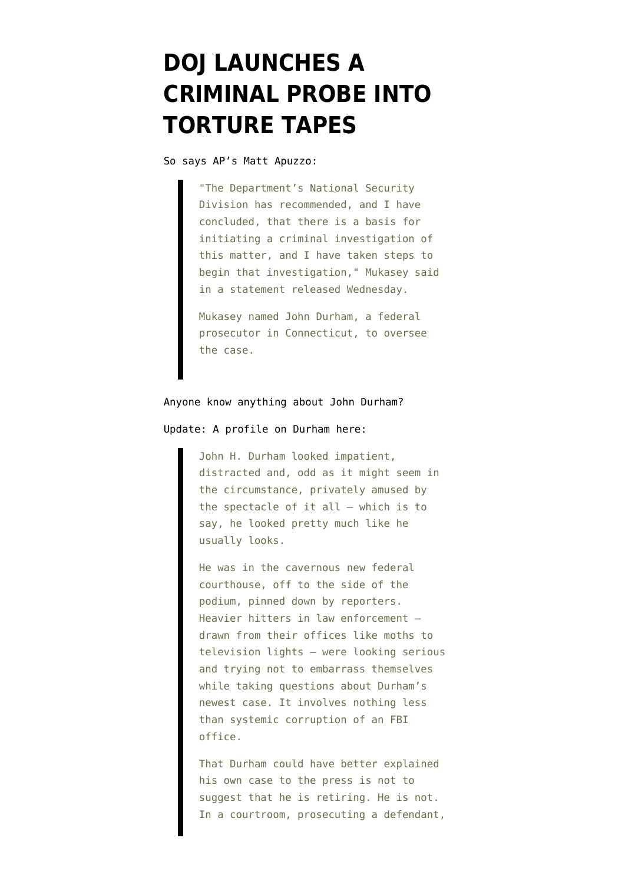## **[DOJ LAUNCHES A](https://www.emptywheel.net/2008/01/02/doj-launches-a-criminal-probe-into-torture-tapes/) [CRIMINAL PROBE INTO](https://www.emptywheel.net/2008/01/02/doj-launches-a-criminal-probe-into-torture-tapes/) [TORTURE TAPES](https://www.emptywheel.net/2008/01/02/doj-launches-a-criminal-probe-into-torture-tapes/)**

So [says](http://www.washingtonpost.com/wp-dyn/content/article/2008/01/02/AR2008010201923.html?hpid=moreheadlines) AP's Matt Apuzzo:

"The Department's National Security Division has recommended, and I have concluded, that there is a basis for initiating a criminal investigation of this matter, and I have taken steps to begin that investigation," Mukasey said in a statement released Wednesday.

Mukasey named John Durham, a federal prosecutor in Connecticut, to oversee the case.

## Anyone know anything about John Durham?

## Update: A [profile](http://www.laborers.org/HartfordCour_Lawyer_1-28-01.htm) on Durham here:

John H. Durham looked impatient, distracted and, odd as it might seem in the circumstance, privately amused by the spectacle of it all – which is to say, he looked pretty much like he usually looks.

He was in the cavernous new federal courthouse, off to the side of the podium, pinned down by reporters. Heavier hitters in law enforcement – drawn from their offices like moths to television lights – were looking serious and trying not to embarrass themselves while taking questions about Durham's newest case. It involves nothing less than systemic corruption of an FBI office.

That Durham could have better explained his own case to the press is not to suggest that he is retiring. He is not. In a courtroom, prosecuting a defendant,